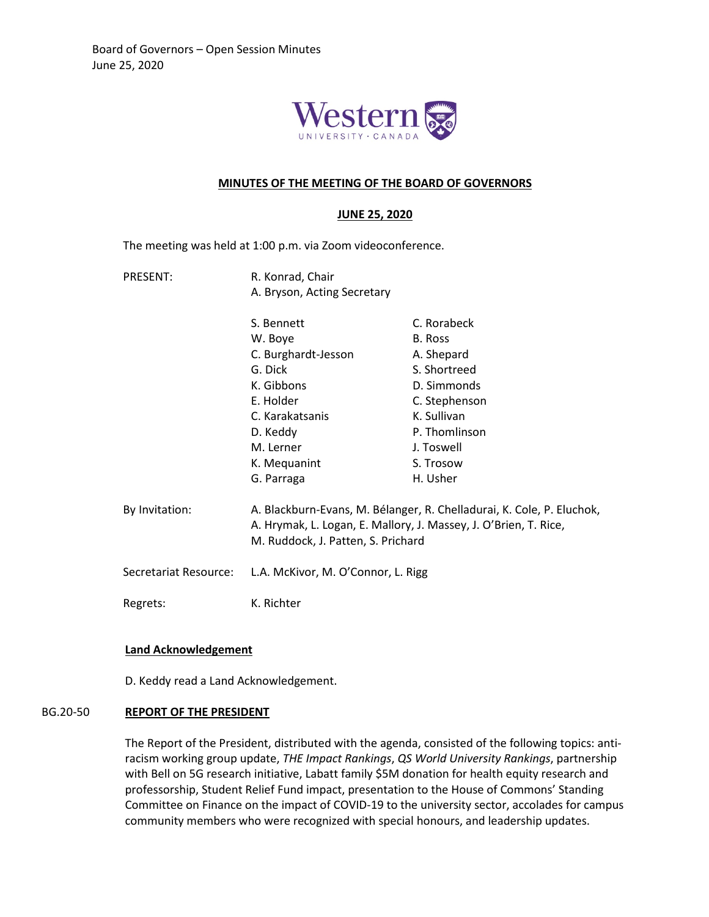

#### **MINUTES OF THE MEETING OF THE BOARD OF GOVERNORS**

### **JUNE 25, 2020**

The meeting was held at 1:00 p.m. via Zoom videoconference.

PRESENT: R. Konrad, Chair A. Bryson, Acting Secretary

|                       | S. Bennett                                                                                                                                                                      | C. Rorabeck   |
|-----------------------|---------------------------------------------------------------------------------------------------------------------------------------------------------------------------------|---------------|
|                       | W. Boye                                                                                                                                                                         | B. Ross       |
|                       | C. Burghardt-Jesson                                                                                                                                                             | A. Shepard    |
|                       | G. Dick                                                                                                                                                                         | S. Shortreed  |
|                       | K. Gibbons                                                                                                                                                                      | D. Simmonds   |
|                       | E. Holder                                                                                                                                                                       | C. Stephenson |
|                       | C. Karakatsanis                                                                                                                                                                 | K. Sullivan   |
|                       | D. Keddy                                                                                                                                                                        | P. Thomlinson |
|                       | M. Lerner                                                                                                                                                                       | J. Toswell    |
|                       | K. Mequanint                                                                                                                                                                    | S. Trosow     |
|                       | G. Parraga                                                                                                                                                                      | H. Usher      |
| By Invitation:        | A. Blackburn-Evans, M. Bélanger, R. Chelladurai, K. Cole, P. Eluchok,<br>A. Hrymak, L. Logan, E. Mallory, J. Massey, J. O'Brien, T. Rice,<br>M. Ruddock, J. Patten, S. Prichard |               |
| Secretariat Resource: | L.A. McKivor, M. O'Connor, L. Rigg                                                                                                                                              |               |
| Regrets:              | K. Richter                                                                                                                                                                      |               |

## **Land Acknowledgement**

D. Keddy read a Land Acknowledgement.

### BG.20-50 **REPORT OF THE PRESIDENT**

The Report of the President, distributed with the agenda, consisted of the following topics: antiracism working group update, *THE Impact Rankings*, *QS World University Rankings*, partnership with Bell on 5G research initiative, Labatt family \$5M donation for health equity research and professorship, Student Relief Fund impact, presentation to the House of Commons' Standing Committee on Finance on the impact of COVID-19 to the university sector, accolades for campus community members who were recognized with special honours, and leadership updates.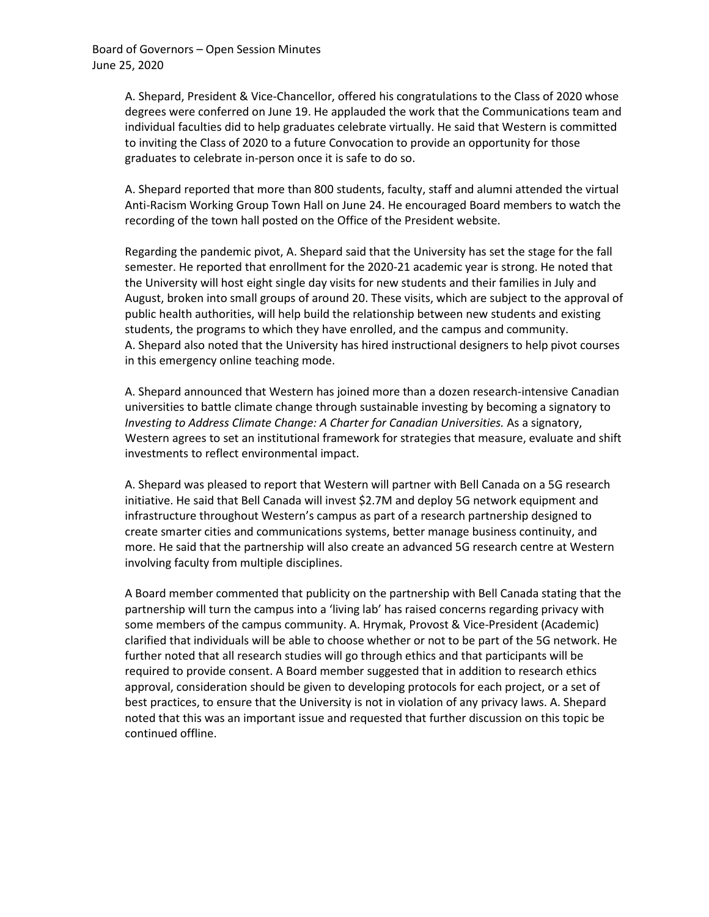A. Shepard, President & Vice-Chancellor, offered his congratulations to the Class of 2020 whose degrees were conferred on June 19. He applauded the work that the Communications team and individual faculties did to help graduates celebrate virtually. He said that Western is committed to inviting the Class of 2020 to a future Convocation to provide an opportunity for those graduates to celebrate in-person once it is safe to do so.

A. Shepard reported that more than 800 students, faculty, staff and alumni attended the virtual Anti-Racism Working Group Town Hall on June 24. He encouraged Board members to watch the recording of the town hall posted on the Office of the President website.

Regarding the pandemic pivot, A. Shepard said that the University has set the stage for the fall semester. He reported that enrollment for the 2020-21 academic year is strong. He noted that the University will host eight single day visits for new students and their families in July and August, broken into small groups of around 20. These visits, which are subject to the approval of public health authorities, will help build the relationship between new students and existing students, the programs to which they have enrolled, and the campus and community. A. Shepard also noted that the University has hired instructional designers to help pivot courses in this emergency online teaching mode.

A. Shepard announced that Western has joined more than a dozen research-intensive Canadian universities to battle climate change through sustainable investing by becoming a signatory to *Investing to Address Climate Change: A Charter for Canadian Universities.* As a signatory, Western agrees to set an institutional framework for strategies that measure, evaluate and shift investments to reflect environmental impact.

A. Shepard was pleased to report that Western will partner with Bell Canada on a 5G research initiative. He said that Bell Canada will invest \$2.7M and deploy 5G network equipment and infrastructure throughout Western's campus as part of a research partnership designed to create smarter cities and communications systems, better manage business continuity, and more. He said that the partnership will also create an advanced 5G research centre at Western involving faculty from multiple disciplines.

A Board member commented that publicity on the partnership with Bell Canada stating that the partnership will turn the campus into a 'living lab' has raised concerns regarding privacy with some members of the campus community. A. Hrymak, Provost & Vice-President (Academic) clarified that individuals will be able to choose whether or not to be part of the 5G network. He further noted that all research studies will go through ethics and that participants will be required to provide consent. A Board member suggested that in addition to research ethics approval, consideration should be given to developing protocols for each project, or a set of best practices, to ensure that the University is not in violation of any privacy laws. A. Shepard noted that this was an important issue and requested that further discussion on this topic be continued offline.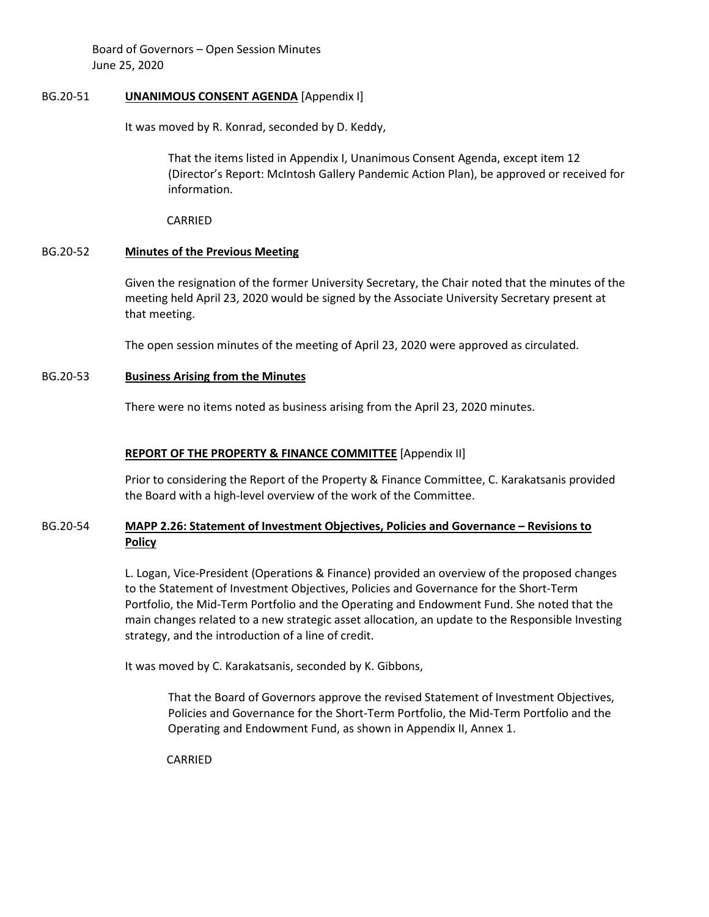### BG.20-51 **UNANIMOUS CONSENT AGENDA** [Appendix I]

It was moved by R. Konrad, seconded by D. Keddy,

That the items listed in Appendix I, Unanimous Consent Agenda, except item 12 (Director's Report: McIntosh Gallery Pandemic Action Plan), be approved or received for information.

CARRIED

# BG.20-52 **Minutes of the Previous Meeting**

Given the resignation of the former University Secretary, the Chair noted that the minutes of the meeting held April 23, 2020 would be signed by the Associate University Secretary present at that meeting.

The open session minutes of the meeting of April 23, 2020 were approved as circulated.

# BG.20-53 **Business Arising from the Minutes**

There were no items noted as business arising from the April 23, 2020 minutes.

# **REPORT OF THE PROPERTY & FINANCE COMMITTEE** [Appendix II]

Prior to considering the Report of the Property & Finance Committee, C. Karakatsanis provided the Board with a high-level overview of the work of the Committee.

# BG.20-54 **MAPP 2.26: Statement of Investment Objectives, Policies and Governance – Revisions to Policy**

L. Logan, Vice-President (Operations & Finance) provided an overview of the proposed changes to the Statement of Investment Objectives, Policies and Governance for the Short-Term Portfolio, the Mid-Term Portfolio and the Operating and Endowment Fund. She noted that the main changes related to a new strategic asset allocation, an update to the Responsible Investing strategy, and the introduction of a line of credit.

It was moved by C. Karakatsanis, seconded by K. Gibbons,

That the Board of Governors approve the revised Statement of Investment Objectives, Policies and Governance for the Short-Term Portfolio, the Mid-Term Portfolio and the Operating and Endowment Fund, as shown in Appendix II, Annex 1.

CARRIED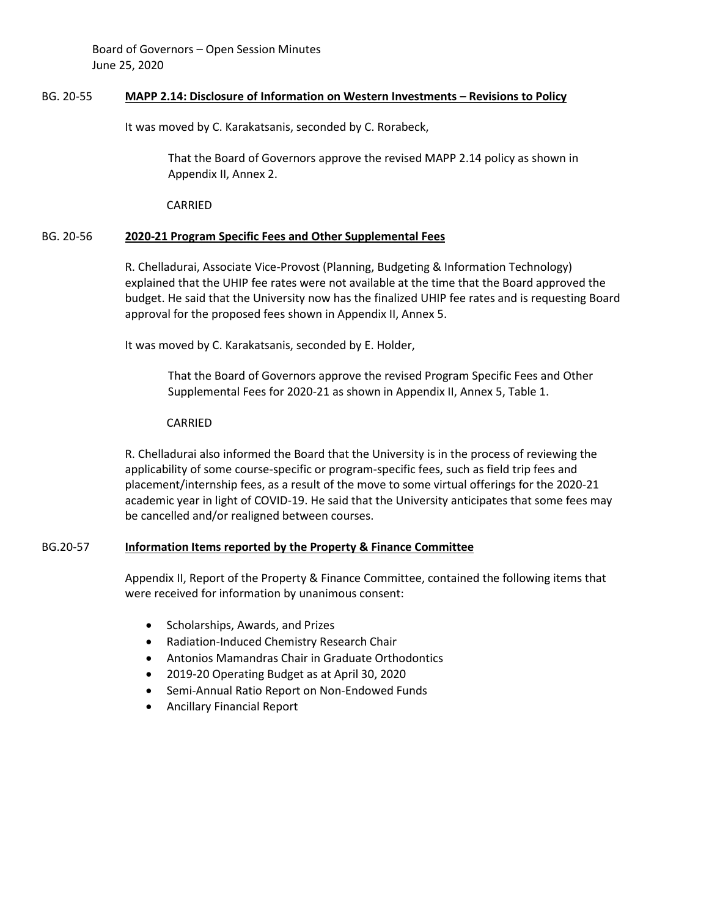### BG. 20-55 **MAPP 2.14: Disclosure of Information on Western Investments – Revisions to Policy**

It was moved by C. Karakatsanis, seconded by C. Rorabeck,

That the Board of Governors approve the revised MAPP 2.14 policy as shown in Appendix II, Annex 2.

CARRIED

# BG. 20-56 **2020-21 Program Specific Fees and Other Supplemental Fees**

R. Chelladurai, Associate Vice-Provost (Planning, Budgeting & Information Technology) explained that the UHIP fee rates were not available at the time that the Board approved the budget. He said that the University now has the finalized UHIP fee rates and is requesting Board approval for the proposed fees shown in Appendix II, Annex 5.

It was moved by C. Karakatsanis, seconded by E. Holder,

That the Board of Governors approve the revised Program Specific Fees and Other Supplemental Fees for 2020-21 as shown in Appendix II, Annex 5, Table 1.

### CARRIED

R. Chelladurai also informed the Board that the University is in the process of reviewing the applicability of some course-specific or program-specific fees, such as field trip fees and placement/internship fees, as a result of the move to some virtual offerings for the 2020-21 academic year in light of COVID-19. He said that the University anticipates that some fees may be cancelled and/or realigned between courses.

### BG.20-57 **Information Items reported by the Property & Finance Committee**

Appendix II, Report of the Property & Finance Committee, contained the following items that were received for information by unanimous consent:

- Scholarships, Awards, and Prizes
- Radiation-Induced Chemistry Research Chair
- Antonios Mamandras Chair in Graduate Orthodontics
- 2019-20 Operating Budget as at April 30, 2020
- Semi-Annual Ratio Report on Non-Endowed Funds
- Ancillary Financial Report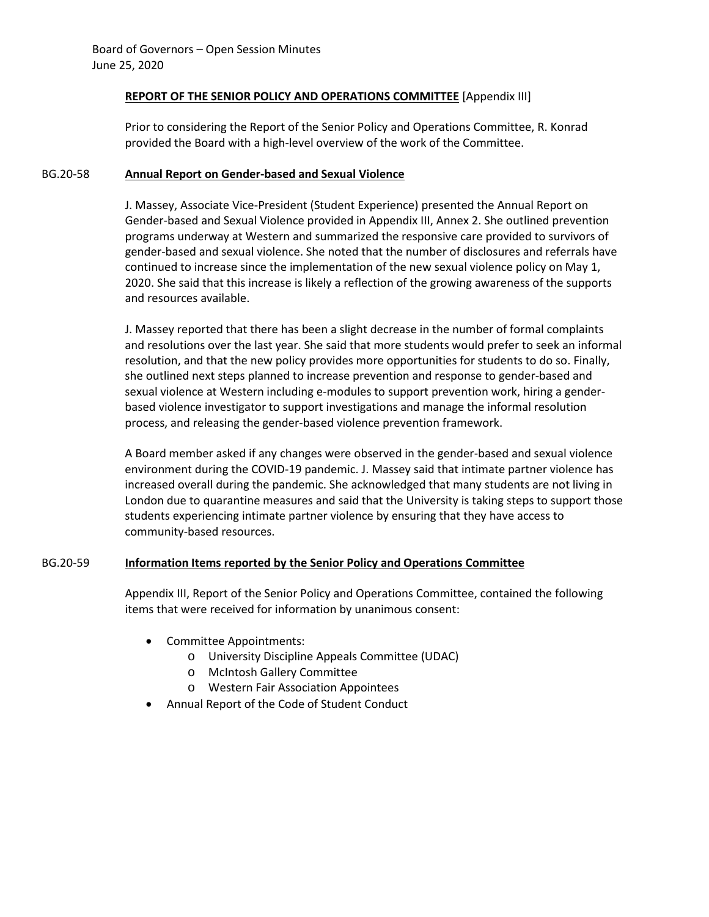## **REPORT OF THE SENIOR POLICY AND OPERATIONS COMMITTEE** [Appendix III]

Prior to considering the Report of the Senior Policy and Operations Committee, R. Konrad provided the Board with a high-level overview of the work of the Committee.

## BG.20-58 **Annual Report on Gender-based and Sexual Violence**

J. Massey, Associate Vice-President (Student Experience) presented the Annual Report on Gender-based and Sexual Violence provided in Appendix III, Annex 2. She outlined prevention programs underway at Western and summarized the responsive care provided to survivors of gender-based and sexual violence. She noted that the number of disclosures and referrals have continued to increase since the implementation of the new sexual violence policy on May 1, 2020. She said that this increase is likely a reflection of the growing awareness of the supports and resources available.

J. Massey reported that there has been a slight decrease in the number of formal complaints and resolutions over the last year. She said that more students would prefer to seek an informal resolution, and that the new policy provides more opportunities for students to do so. Finally, she outlined next steps planned to increase prevention and response to gender-based and sexual violence at Western including e-modules to support prevention work, hiring a genderbased violence investigator to support investigations and manage the informal resolution process, and releasing the gender-based violence prevention framework.

A Board member asked if any changes were observed in the gender-based and sexual violence environment during the COVID-19 pandemic. J. Massey said that intimate partner violence has increased overall during the pandemic. She acknowledged that many students are not living in London due to quarantine measures and said that the University is taking steps to support those students experiencing intimate partner violence by ensuring that they have access to community-based resources.

# BG.20-59 **Information Items reported by the Senior Policy and Operations Committee**

Appendix III, Report of the Senior Policy and Operations Committee, contained the following items that were received for information by unanimous consent:

- Committee Appointments:
	- o University Discipline Appeals Committee (UDAC)
	- o McIntosh Gallery Committee
	- o Western Fair Association Appointees
- Annual Report of the Code of Student Conduct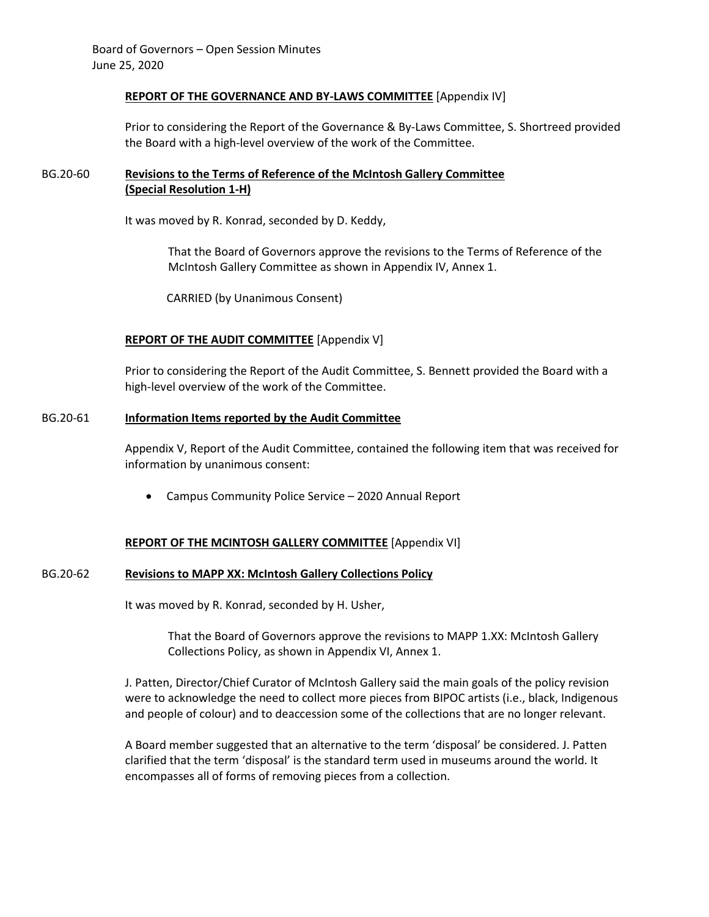### **REPORT OF THE GOVERNANCE AND BY-LAWS COMMITTEE** [Appendix IV]

Prior to considering the Report of the Governance & By-Laws Committee, S. Shortreed provided the Board with a high-level overview of the work of the Committee.

# BG.20-60 **Revisions to the Terms of Reference of the McIntosh Gallery Committee (Special Resolution 1-H)**

It was moved by R. Konrad, seconded by D. Keddy,

That the Board of Governors approve the revisions to the Terms of Reference of the McIntosh Gallery Committee as shown in Appendix IV, Annex 1.

CARRIED (by Unanimous Consent)

# **REPORT OF THE AUDIT COMMITTEE** [Appendix V]

Prior to considering the Report of the Audit Committee, S. Bennett provided the Board with a high-level overview of the work of the Committee.

## BG.20-61 **Information Items reported by the Audit Committee**

Appendix V, Report of the Audit Committee, contained the following item that was received for information by unanimous consent:

• Campus Community Police Service – 2020 Annual Report

### **REPORT OF THE MCINTOSH GALLERY COMMITTEE** [Appendix VI]

### BG.20-62 **Revisions to MAPP XX: McIntosh Gallery Collections Policy**

It was moved by R. Konrad, seconded by H. Usher,

That the Board of Governors approve the revisions to MAPP 1.XX: McIntosh Gallery Collections Policy, as shown in Appendix VI, Annex 1.

J. Patten, Director/Chief Curator of McIntosh Gallery said the main goals of the policy revision were to acknowledge the need to collect more pieces from BIPOC artists (i.e., black, Indigenous and people of colour) and to deaccession some of the collections that are no longer relevant.

A Board member suggested that an alternative to the term 'disposal' be considered. J. Patten clarified that the term 'disposal' is the standard term used in museums around the world. It encompasses all of forms of removing pieces from a collection.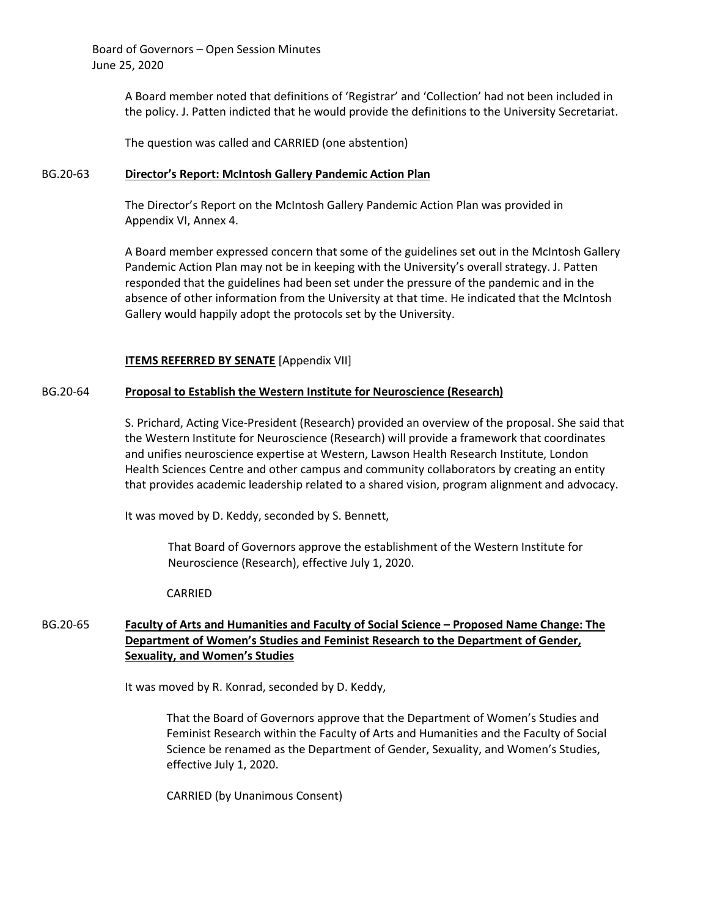> A Board member noted that definitions of 'Registrar' and 'Collection' had not been included in the policy. J. Patten indicted that he would provide the definitions to the University Secretariat.

The question was called and CARRIED (one abstention)

### BG.20-63 **Director's Report: McIntosh Gallery Pandemic Action Plan**

The Director's Report on the McIntosh Gallery Pandemic Action Plan was provided in Appendix VI, Annex 4.

A Board member expressed concern that some of the guidelines set out in the McIntosh Gallery Pandemic Action Plan may not be in keeping with the University's overall strategy. J. Patten responded that the guidelines had been set under the pressure of the pandemic and in the absence of other information from the University at that time. He indicated that the McIntosh Gallery would happily adopt the protocols set by the University.

## **ITEMS REFERRED BY SENATE** [Appendix VII]

## BG.20-64 **Proposal to Establish the Western Institute for Neuroscience (Research)**

S. Prichard, Acting Vice-President (Research) provided an overview of the proposal. She said that the Western Institute for Neuroscience (Research) will provide a framework that coordinates and unifies neuroscience expertise at Western, Lawson Health Research Institute, London Health Sciences Centre and other campus and community collaborators by creating an entity that provides academic leadership related to a shared vision, program alignment and advocacy.

It was moved by D. Keddy, seconded by S. Bennett,

That Board of Governors approve the establishment of the Western Institute for Neuroscience (Research), effective July 1, 2020.

### CARRIED

# BG.20-65 **Faculty of Arts and Humanities and Faculty of Social Science – Proposed Name Change: The Department of Women's Studies and Feminist Research to the Department of Gender, Sexuality, and Women's Studies**

It was moved by R. Konrad, seconded by D. Keddy,

That the Board of Governors approve that the Department of Women's Studies and Feminist Research within the Faculty of Arts and Humanities and the Faculty of Social Science be renamed as the Department of Gender, Sexuality, and Women's Studies, effective July 1, 2020.

CARRIED (by Unanimous Consent)